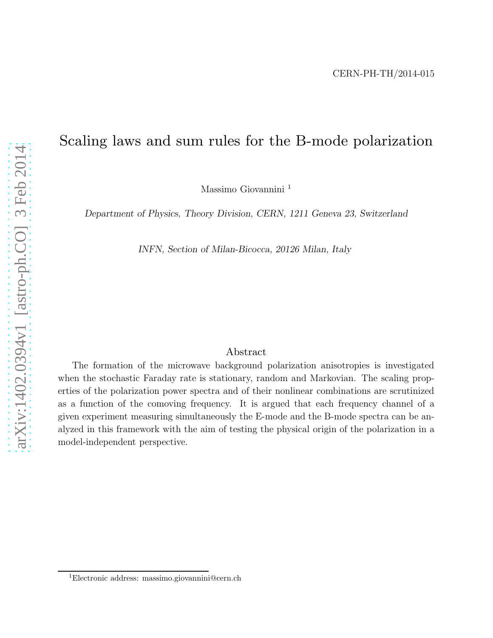## Scaling laws and sum rules for the B-mode polarization

Massimo Giovannini <sup>1</sup>

Department of Physics, Theory Division, CERN, 1211 Geneva 23, Switzerland

INFN, Section of Milan-Bicocca, 20126 Milan, Italy

## Abstract

The formation of the microwave background polarization anisotropies is investigated when the stochastic Faraday rate is stationary, random and Markovian. The scaling properties of the polarization power spectra and of their nonlinear combinations are scrutinized as a function of the comoving frequency. It is argued that each frequency channel of a given experiment measuring simultaneously the E-mode and the B-mode spectra can be analyzed in this framework with the aim of testing the physical origin of the polarization in a model-independent perspective.

<sup>1</sup>Electronic address: massimo.giovannini@cern.ch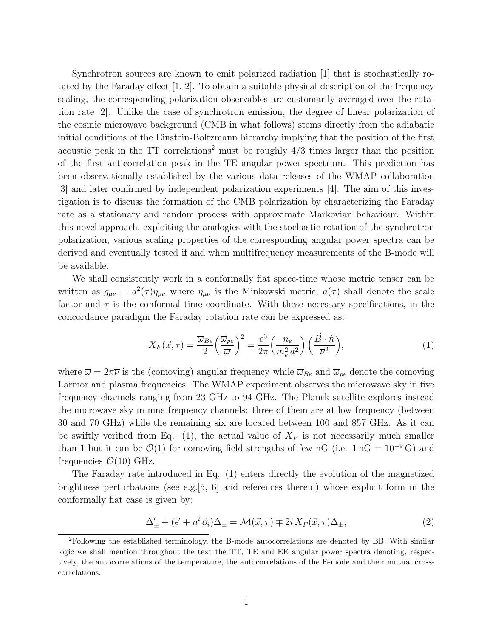Synchrotron sources are known to emit polarized radiation [1] that is stochastically rotated by the Faraday effect [1, 2]. To obtain a suitable physical description of the frequency scaling, the corresponding polarization observables are customarily averaged over the rotation rate [2]. Unlike the case of synchrotron emission, the degree of linear polarization of the cosmic microwave background (CMB in what follows) stems directly from the adiabatic initial conditions of the Einstein-Boltzmann hierarchy implying that the position of the first acoustic peak in the  $TT$  correlations<sup>2</sup> must be roughly  $4/3$  times larger than the position of the first anticorrelation peak in the TE angular power spectrum. This prediction has been observationally established by the various data releases of the WMAP collaboration [3] and later confirmed by independent polarization experiments [4]. The aim of this investigation is to discuss the formation of the CMB polarization by characterizing the Faraday rate as a stationary and random process with approximate Markovian behaviour. Within this novel approach, exploiting the analogies with the stochastic rotation of the synchrotron polarization, various scaling properties of the corresponding angular power spectra can be derived and eventually tested if and when multifrequency measurements of the B-mode will be available.

We shall consistently work in a conformally flat space-time whose metric tensor can be written as  $g_{\mu\nu} = a^2(\tau)\eta_{\mu\nu}$  where  $\eta_{\mu\nu}$  is the Minkowski metric;  $a(\tau)$  shall denote the scale factor and  $\tau$  is the conformal time coordinate. With these necessary specifications, in the concordance paradigm the Faraday rotation rate can be expressed as:

$$
X_F(\vec{x}, \tau) = \frac{\overline{\omega}_{Be}}{2} \left(\frac{\overline{\omega}_{pe}}{\overline{\omega}}\right)^2 = \frac{e^3}{2\pi} \left(\frac{n_e}{m_e^2 a^2}\right) \left(\frac{\vec{B} \cdot \hat{n}}{\overline{\nu}^2}\right),\tag{1}
$$

where  $\overline{\omega} = 2\pi \overline{\nu}$  is the (comoving) angular frequency while  $\overline{\omega}_{Be}$  and  $\overline{\omega}_{pe}$  denote the comoving Larmor and plasma frequencies. The WMAP experiment observes the microwave sky in five frequency channels ranging from 23 GHz to 94 GHz. The Planck satellite explores instead the microwave sky in nine frequency channels: three of them are at low frequency (between 30 and 70 GHz) while the remaining six are located between 100 and 857 GHz. As it can be swiftly verified from Eq. (1), the actual value of  $X_F$  is not necessarily much smaller than 1 but it can be  $\mathcal{O}(1)$  for comoving field strengths of few nG (i.e. 1 nG = 10<sup>-9</sup> G) and frequencies  $\mathcal{O}(10)$  GHz.

The Faraday rate introduced in Eq. (1) enters directly the evolution of the magnetized brightness perturbations (see e.g.[5, 6] and references therein) whose explicit form in the conformally flat case is given by:

$$
\Delta'_{\pm} + (\epsilon' + n^i \partial_i) \Delta_{\pm} = \mathcal{M}(\vec{x}, \tau) \mp 2i X_F(\vec{x}, \tau) \Delta_{\pm}, \tag{2}
$$

<sup>&</sup>lt;sup>2</sup>Following the established terminology, the B-mode autocorrelations are denoted by BB. With similar logic we shall mention throughout the text the TT, TE and EE angular power spectra denoting, respectively, the autocorrelations of the temperature, the autocorrelations of the E-mode and their mutual crosscorrelations.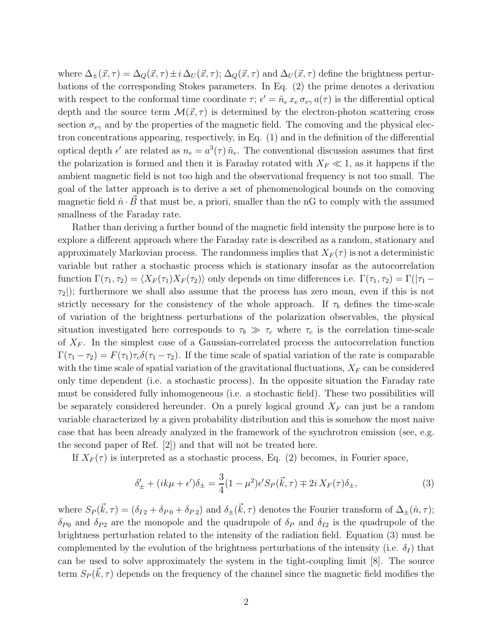where  $\Delta_{\pm}(\vec{x}, \tau) = \Delta_Q(\vec{x}, \tau) \pm i \Delta_U(\vec{x}, \tau)$ ;  $\Delta_Q(\vec{x}, \tau)$  and  $\Delta_U(\vec{x}, \tau)$  define the brightness perturbations of the corresponding Stokes parameters. In Eq. (2) the prime denotes a derivation with respect to the conformal time coordinate  $\tau$ ;  $\epsilon' = \tilde{n}_e x_e \sigma_{e\gamma} a(\tau)$  is the differential optical depth and the source term  $\mathcal{M}(\vec{x}, \tau)$  is determined by the electron-photon scattering cross section  $\sigma_{e\gamma}$  and by the properties of the magnetic field. The comoving and the physical electron concentrations appearing, respectively, in Eq. (1) and in the definition of the differential optical depth  $\epsilon'$  are related as  $n_e = a^3(\tau) \tilde{n}_e$ . The conventional discussion assumes that first the polarization is formed and then it is Faraday rotated with  $X_F \ll 1$ , as it happens if the ambient magnetic field is not too high and the observational frequency is not too small. The goal of the latter approach is to derive a set of phenomenological bounds on the comoving magnetic field  $\hat{n} \cdot B$  that must be, a priori, smaller than the nG to comply with the assumed smallness of the Faraday rate.

Rather than deriving a further bound of the magnetic field intensity the purpose here is to explore a different approach where the Faraday rate is described as a random, stationary and approximately Markovian process. The randomness implies that  $X_F(\tau)$  is not a deterministic variable but rather a stochastic process which is stationary insofar as the autocorrelation function  $\Gamma(\tau_1, \tau_2) = \langle X_F(\tau_1)X_F(\tau_2)\rangle$  only depends on time differences i.e.  $\Gamma(\tau_1, \tau_2) = \Gamma(|\tau_1 - \tau_1|)$  $\tau_2$ ); furthermore we shall also assume that the process has zero mean, even if this is not strictly necessary for the consistency of the whole approach. If  $\tau_b$  defines the time-scale of variation of the brightness perturbations of the polarization observables, the physical situation investigated here corresponds to  $\tau_b \gg \tau_c$  where  $\tau_c$  is the correlation time-scale of  $X_F$ . In the simplest case of a Gaussian-correlated process the autocorrelation function  $\Gamma(\tau_1 - \tau_2) = F(\tau_1)\tau_c\delta(\tau_1 - \tau_2)$ . If the time scale of spatial variation of the rate is comparable with the time scale of spatial variation of the gravitational fluctuations,  $X_F$  can be considered only time dependent (i.e. a stochastic process). In the opposite situation the Faraday rate must be considered fully inhomogeneous (i.e. a stochastic field). These two possibilities will be separately considered hereunder. On a purely logical ground  $X_F$  can just be a random variable characterized by a given probability distribution and this is somehow the most naive case that has been already analyzed in the framework of the synchrotron emission (see, e.g. the second paper of Ref. [2]) and that will not be treated here.

If  $X_F(\tau)$  is interpreted as a stochastic process, Eq. (2) becomes, in Fourier space,

$$
\delta'_{\pm} + (ik\mu + \epsilon')\delta_{\pm} = \frac{3}{4}(1 - \mu^2)\epsilon' S_P(\vec{k}, \tau) \mp 2i X_F(\tau)\delta_{\pm},\tag{3}
$$

where  $S_P(\vec{k}, \tau) = (\delta_{I2} + \delta_{P0} + \delta_{P2})$  and  $\delta_{\pm}(\vec{k}, \tau)$  denotes the Fourier transform of  $\Delta_{\pm}(\hat{n}, \tau)$ ;  $\delta_{P0}$  and  $\delta_{P2}$  are the monopole and the quadrupole of  $\delta_P$  and  $\delta_{I2}$  is the quadrupole of the brightness perturbation related to the intensity of the radiation field. Equation (3) must be complemented by the evolution of the brightness perturbations of the intensity (i.e.  $\delta_I$ ) that can be used to solve approximately the system in the tight-coupling limit [8]. The source term  $S_P(\vec{k}, \tau)$  depends on the frequency of the channel since the magnetic field modifies the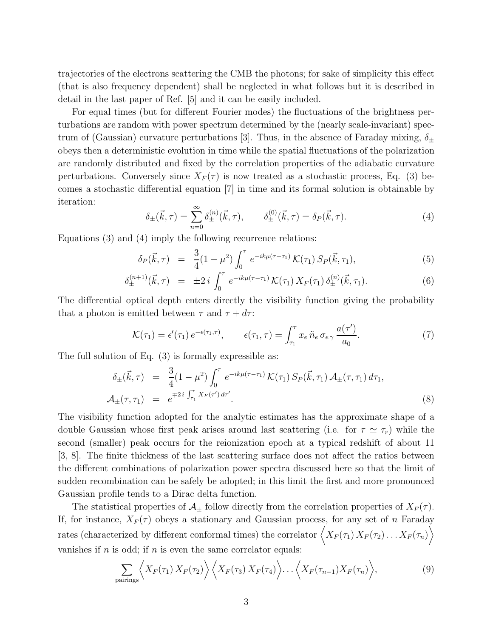trajectories of the electrons scattering the CMB the photons; for sake of simplicity this effect (that is also frequency dependent) shall be neglected in what follows but it is described in detail in the last paper of Ref. [5] and it can be easily included.

For equal times (but for different Fourier modes) the fluctuations of the brightness perturbations are random with power spectrum determined by the (nearly scale-invariant) spectrum of (Gaussian) curvature perturbations [3]. Thus, in the absence of Faraday mixing,  $\delta_{\pm}$ obeys then a deterministic evolution in time while the spatial fluctuations of the polarization are randomly distributed and fixed by the correlation properties of the adiabatic curvature perturbations. Conversely since  $X_F(\tau)$  is now treated as a stochastic process, Eq. (3) becomes a stochastic differential equation [7] in time and its formal solution is obtainable by iteration:

$$
\delta_{\pm}(\vec{k},\tau) = \sum_{n=0}^{\infty} \delta_{\pm}^{(n)}(\vec{k},\tau), \qquad \delta_{\pm}^{(0)}(\vec{k},\tau) = \delta_P(\vec{k},\tau). \tag{4}
$$

Equations (3) and (4) imply the following recurrence relations:

$$
\delta_P(\vec{k}, \tau) = \frac{3}{4} (1 - \mu^2) \int_0^{\tau} e^{-ik\mu(\tau - \tau_1)} \mathcal{K}(\tau_1) S_P(\vec{k}, \tau_1), \tag{5}
$$

$$
\delta_{\pm}^{(n+1)}(\vec{k},\tau) = \pm 2 i \int_0^{\tau} e^{-ik\mu(\tau-\tau_1)} \mathcal{K}(\tau_1) X_F(\tau_1) \delta_{\pm}^{(n)}(\vec{k},\tau_1). \tag{6}
$$

The differential optical depth enters directly the visibility function giving the probability that a photon is emitted between  $\tau$  and  $\tau + d\tau$ :

$$
\mathcal{K}(\tau_1) = \epsilon'(\tau_1) e^{-\epsilon(\tau_1, \tau)}, \qquad \epsilon(\tau_1, \tau) = \int_{\tau_1}^{\tau} x_e \, \tilde{n}_e \, \sigma_{e\gamma} \, \frac{a(\tau')}{a_0}.
$$
 (7)

The full solution of Eq. (3) is formally expressible as:

$$
\delta_{\pm}(\vec{k},\tau) = \frac{3}{4}(1-\mu^2) \int_0^{\tau} e^{-ik\mu(\tau-\tau_1)} \mathcal{K}(\tau_1) S_P(\vec{k},\tau_1) \mathcal{A}_{\pm}(\tau,\tau_1) d\tau_1,
$$
  
\n
$$
\mathcal{A}_{\pm}(\tau,\tau_1) = e^{\mp 2i \int_{\tau_1}^{\tau} X_F(\tau') d\tau'}.
$$
\n(8)

The visibility function adopted for the analytic estimates has the approximate shape of a double Gaussian whose first peak arises around last scattering (i.e. for  $\tau \simeq \tau_r$ ) while the second (smaller) peak occurs for the reionization epoch at a typical redshift of about 11 [3, 8]. The finite thickness of the last scattering surface does not affect the ratios between the different combinations of polarization power spectra discussed here so that the limit of sudden recombination can be safely be adopted; in this limit the first and more pronounced Gaussian profile tends to a Dirac delta function.

The statistical properties of  $\mathcal{A}_{\pm}$  follow directly from the correlation properties of  $X_F(\tau)$ . If, for instance,  $X_F(\tau)$  obeys a stationary and Gaussian process, for any set of n Faraday rates (characterized by different conformal times) the correlator  $\langle X_F(\tau_1) X_F(\tau_2) \dots X_F(\tau_n) \rangle$ vanishes if  $n$  is odd; if  $n$  is even the same correlator equals:

$$
\sum_{\text{pairings}} \left\langle X_F(\tau_1) \, X_F(\tau_2) \right\rangle \left\langle X_F(\tau_3) \, X_F(\tau_4) \right\rangle \dots \left\langle X_F(\tau_{n-1}) X_F(\tau_n) \right\rangle, \tag{9}
$$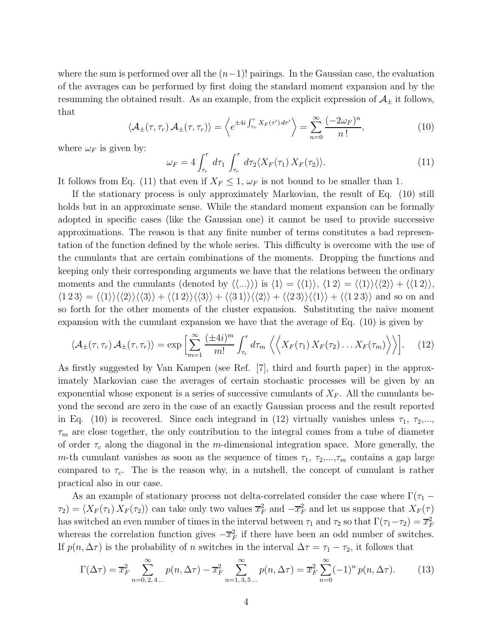where the sum is performed over all the  $(n-1)!$  pairings. In the Gaussian case, the evaluation of the averages can be performed by first doing the standard moment expansion and by the resumming the obtained result. As an example, from the explicit expression of  $\mathcal{A}_{\pm}$  it follows, that

$$
\langle \mathcal{A}_{\pm}(\tau,\tau_r) \mathcal{A}_{\pm}(\tau,\tau_r) \rangle = \left\langle e^{\pm 4i \int_{\tau_r}^{\tau} X_F(\tau') d\tau'} \right\rangle = \sum_{n=0}^{\infty} \frac{(-2\omega_F)^n}{n!},\tag{10}
$$

where  $\omega_F$  is given by:

$$
\omega_F = 4 \int_{\tau_r}^{\tau} d\tau_1 \int_{\tau_r}^{\tau} d\tau_2 \langle X_F(\tau_1) X_F(\tau_2) \rangle.
$$
 (11)

It follows from Eq. (11) that even if  $X_F \leq 1$ ,  $\omega_F$  is not bound to be smaller than 1.

If the stationary process is only approximately Markovian, the result of Eq. (10) still holds but in an approximate sense. While the standard moment expansion can be formally adopted in specific cases (like the Gaussian one) it cannot be used to provide successive approximations. The reason is that any finite number of terms constitutes a bad representation of the function defined by the whole series. This difficulty is overcome with the use of the cumulants that are certain combinations of the moments. Dropping the functions and keeping only their corresponding arguments we have that the relations between the ordinary moments and the cumulants (denoted by  $\langle\langle...\rangle\rangle$ ) is  $\langle1\rangle = \langle\langle1\rangle\rangle, \langle1 2\rangle = \langle\langle1\rangle\rangle\langle\langle2\rangle\rangle + \langle\langle1 2\rangle\rangle,$  $\langle 1 2 3 \rangle = \langle \langle 1 \rangle \rangle \langle \langle 2 \rangle \langle \langle 3 \rangle \rangle + \langle \langle 1 2 \rangle \langle \langle 3 \rangle \rangle + \langle \langle 3 1 \rangle \langle \langle 2 \rangle \rangle + \langle \langle 2 3 \rangle \langle \langle 1 \rangle \rangle + \langle \langle 1 2 3 \rangle \rangle$  and so on and so forth for the other moments of the cluster expansion. Substituting the naive moment expansion with the cumulant expansion we have that the average of Eq. (10) is given by

$$
\langle \mathcal{A}_{\pm}(\tau,\tau_r) \mathcal{A}_{\pm}(\tau,\tau_r) \rangle = \exp \left[ \sum_{m=1}^{\infty} \frac{(\pm 4i)^m}{m!} \int_{\tau_r}^{\tau} d\tau_m \left\langle \left\langle X_F(\tau_1) \, X_F(\tau_2) \dots X_F(\tau_m) \right\rangle \right\rangle \right]. \tag{12}
$$

As firstly suggested by Van Kampen (see Ref. [7], third and fourth paper) in the approximately Markovian case the averages of certain stochastic processes will be given by an exponential whose exponent is a series of successive cumulants of  $X_F$ . All the cumulants beyond the second are zero in the case of an exactly Gaussian process and the result reported in Eq. (10) is recovered. Since each integrand in (12) virtually vanishes unless  $\tau_1$ ,  $\tau_2$ ,...,  $\tau_m$  are close together, the only contribution to the integral comes from a tube of diameter of order  $\tau_c$  along the diagonal in the m-dimensional integration space. More generally, the m-th cumulant vanishes as soon as the sequence of times  $\tau_1$ ,  $\tau_2$ ,..., $\tau_m$  contains a gap large compared to  $\tau_c$ . The is the reason why, in a nutshell, the concept of cumulant is rather practical also in our case.

As an example of stationary process not delta-correlated consider the case where  $\Gamma(\tau_1 \tau_1(\tau_1) \times F(\tau_2)$  can take only two values  $\overline{x}_F^2$  and  $-\overline{x}_F^2$  and let us suppose that  $X_F(\tau)$ has switched an even number of times in the interval between  $\tau_1$  and  $\tau_2$  so that  $\Gamma(\tau_1-\tau_2) = \overline{x}_F^2$ whereas the correlation function gives  $-\overline{x}_F^2$  if there have been an odd number of switches. If  $p(n, \Delta \tau)$  is the probability of n switches in the interval  $\Delta \tau = \tau_1 - \tau_2$ , it follows that

$$
\Gamma(\Delta \tau) = \overline{x}_{F}^{2} \sum_{n=0,2,4...}^{\infty} p(n, \Delta \tau) - \overline{x}_{F}^{2} \sum_{n=1,3,5...}^{\infty} p(n, \Delta \tau) = \overline{x}_{F}^{2} \sum_{n=0}^{\infty} (-1)^{n} p(n, \Delta \tau).
$$
 (13)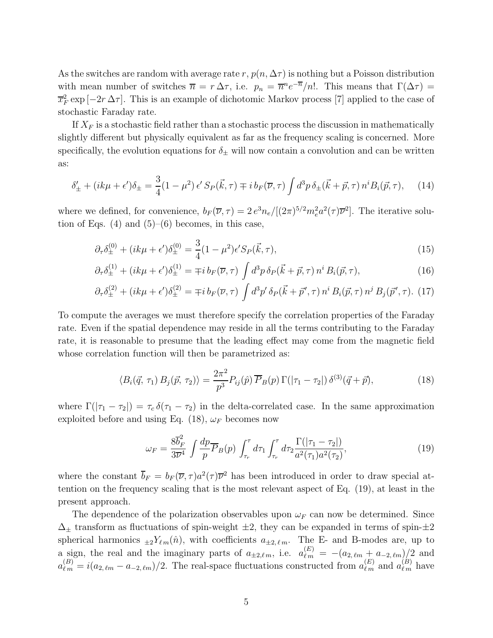As the switches are random with average rate r,  $p(n, \Delta \tau)$  is nothing but a Poisson distribution with mean number of switches  $\overline{n} = r \Delta \tau$ , i.e.  $p_n = \overline{n}^n e^{-\overline{n}}/n!$ . This means that  $\Gamma(\Delta \tau) =$  $\overline{x}_F^2 \exp[-2r \Delta \tau]$ . This is an example of dichotomic Markov process [7] applied to the case of stochastic Faraday rate.

If  $X_F$  is a stochastic field rather than a stochastic process the discussion in mathematically slightly different but physically equivalent as far as the frequency scaling is concerned. More specifically, the evolution equations for  $\delta_{\pm}$  will now contain a convolution and can be written as:

$$
\delta'_{\pm} + (ik\mu + \epsilon')\delta_{\pm} = \frac{3}{4}(1 - \mu^2) \epsilon' S_P(\vec{k}, \tau) \mp i b_F(\overline{\nu}, \tau) \int d^3p \,\delta_{\pm}(\vec{k} + \vec{p}, \tau) \, n^i B_i(\vec{p}, \tau), \tag{14}
$$

where we defined, for convenience,  $b_F(\overline{\nu}, \tau) = 2 e^3 n_e/[(2\pi)^{5/2} m_e^2 a^2(\tau) \overline{\nu}^2]$ . The iterative solution of Eqs.  $(4)$  and  $(5)$ – $(6)$  becomes, in this case,

$$
\partial_{\tau}\delta_{\pm}^{(0)} + (ik\mu + \epsilon')\delta_{\pm}^{(0)} = \frac{3}{4}(1 - \mu^2)\epsilon' S_P(\vec{k}, \tau), \tag{15}
$$

$$
\partial_{\tau}\delta_{\pm}^{(1)} + (ik\mu + \epsilon')\delta_{\pm}^{(1)} = \mp i b_F(\overline{\nu}, \tau) \int d^3p \,\delta_P(\vec{k} + \vec{p}, \tau) \, n^i B_i(\vec{p}, \tau), \tag{16}
$$

$$
\partial_{\tau}\delta_{\pm}^{(2)} + (ik\mu + \epsilon')\delta_{\pm}^{(2)} = \mp i b_{F}(\overline{\nu}, \tau) \int d^{3}p' \,\delta_{P}(\vec{k} + \vec{p}', \tau) \, n^{i} \, B_{i}(\vec{p}, \tau) \, n^{j} \, B_{j}(\vec{p}', \tau). \tag{17}
$$

To compute the averages we must therefore specify the correlation properties of the Faraday rate. Even if the spatial dependence may reside in all the terms contributing to the Faraday rate, it is reasonable to presume that the leading effect may come from the magnetic field whose correlation function will then be parametrized as:

$$
\langle B_i(\vec{q}, \tau_1) B_j(\vec{p}, \tau_2) \rangle = \frac{2\pi^2}{p^3} P_{ij}(\hat{p}) \overline{P}_B(p) \Gamma(|\tau_1 - \tau_2|) \, \delta^{(3)}(\vec{q} + \vec{p}), \tag{18}
$$

where  $\Gamma(|\tau_1 - \tau_2|) = \tau_c \delta(\tau_1 - \tau_2)$  in the delta-correlated case. In the same approximation exploited before and using Eq. (18),  $\omega_F$  becomes now

$$
\omega_F = \frac{8\overline{b}_F^2}{3\overline{\nu}^4} \int \frac{dp}{p} \overline{P}_B(p) \int_{\tau_r}^{\tau} d\tau_1 \int_{\tau_r}^{\tau} d\tau_2 \frac{\Gamma(|\tau_1 - \tau_2|)}{a^2(\tau_1)a^2(\tau_2)},
$$
(19)

where the constant  $\bar{b}_F = b_F (\bar{\nu}, \tau) a^2(\tau) \bar{\nu}^2$  has been introduced in order to draw special attention on the frequency scaling that is the most relevant aspect of Eq. (19), at least in the present approach.

The dependence of the polarization observables upon  $\omega_F$  can now be determined. Since  $\Delta_{\pm}$  transform as fluctuations of spin-weight  $\pm 2$ , they can be expanded in terms of spin- $\pm 2$ spherical harmonics  $_{\pm 2}Y_{\ell m}(\hat{n})$ , with coefficients  $a_{\pm 2,\ell m}$ . The E- and B-modes are, up to a sign, the real and the imaginary parts of  $a_{\pm 2,\ell m}$ , i.e.  $a_{\ell m}^{(E)} = -(a_{2,\ell m} + a_{-2,\ell m})/2$  and  $a_{\ell,m}^{(B)} = i(a_{2,\ell m} - a_{-2,\ell m})/2$ . The real-space fluctuations constructed from  $a_{\ell,m}^{(E)}$  and  $a_{\ell,m}^{(B)}$  have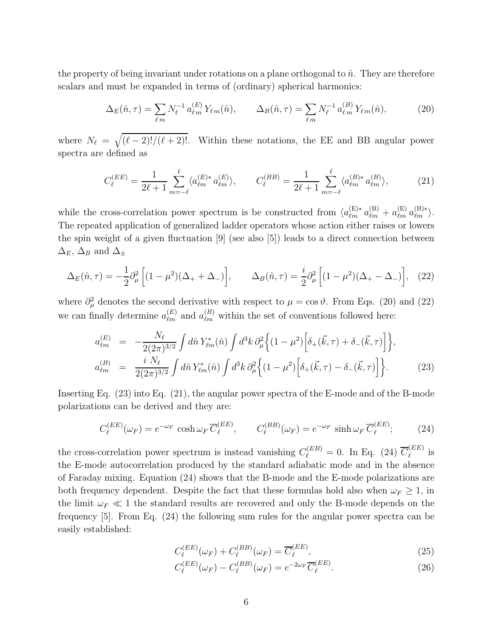the property of being invariant under rotations on a plane orthogonal to  $\hat{n}$ . They are therefore scalars and must be expanded in terms of (ordinary) spherical harmonics:

$$
\Delta_E(\hat{n}, \tau) = \sum_{\ell m} N_{\ell}^{-1} a_{\ell m}^{(E)} Y_{\ell m}(\hat{n}), \qquad \Delta_B(\hat{n}, \tau) = \sum_{\ell m} N_{\ell}^{-1} a_{\ell m}^{(B)} Y_{\ell m}(\hat{n}), \tag{20}
$$

where  $N_{\ell} = \sqrt{(\ell-2)!/(\ell+2)!}$ . Within these notations, the EE and BB angular power spectra are defined as

$$
C_{\ell}^{(EE)} = \frac{1}{2\ell+1} \sum_{m=-\ell}^{\ell} \langle a_{\ell m}^{(E)*} a_{\ell m}^{(E)} \rangle, \qquad C_{\ell}^{(BB)} = \frac{1}{2\ell+1} \sum_{m=-\ell}^{\ell} \langle a_{\ell m}^{(B)*} a_{\ell m}^{(B)} \rangle, \tag{21}
$$

while the cross-correlation power spectrum is be constructed from  $\langle a_{\ell m}^{(E)*} a_{\ell m}^{(B)} + a_{\ell m}^{(E)} a_{\ell m}^{(B)*} \rangle$ . The repeated application of generalized ladder operators whose action either raises or lowers the spin weight of a given fluctuation [9] (see also [5]) leads to a direct connection between  $\Delta_E$ ,  $\Delta_B$  and  $\Delta_{\pm}$ 

$$
\Delta_E(\hat{n}, \tau) = -\frac{1}{2} \partial_\mu^2 \left[ (1 - \mu^2)(\Delta_+ + \Delta_-) \right], \qquad \Delta_B(\hat{n}, \tau) = \frac{i}{2} \partial_\mu^2 \left[ (1 - \mu^2)(\Delta_+ - \Delta_-) \right], \quad (22)
$$

where  $\partial^2_\mu$  denotes the second derivative with respect to  $\mu = \cos \vartheta$ . From Eqs. (20) and (22) we can finally determine  $a_{\ell m}^{(E)}$  and  $a_{\ell m}^{(B)}$  within the set of conventions followed here:

$$
a_{\ell m}^{(E)} = -\frac{N_{\ell}}{2(2\pi)^{3/2}} \int d\hat{n} Y_{\ell m}^{*}(\hat{n}) \int d^{3}k \,\partial_{\mu}^{2} \Big\{ (1 - \mu^{2}) \Big[ \delta_{+}(\vec{k}, \tau) + \delta_{-}(\vec{k}, \tau) \Big] \Big\},
$$
  
\n
$$
a_{\ell m}^{(B)} = \frac{i N_{\ell}}{2(2\pi)^{3/2}} \int d\hat{n} Y_{\ell m}^{*}(\hat{n}) \int d^{3}k \,\partial_{\mu}^{2} \Big\{ (1 - \mu^{2}) \Big[ \delta_{+}(\vec{k}, \tau) - \delta_{-}(\vec{k}, \tau) \Big] \Big\}.
$$
\n(23)

Inserting Eq. (23) into Eq. (21), the angular power spectra of the E-mode and of the B-mode polarizations can be derived and they are:

$$
C_{\ell}^{(EE)}(\omega_F) = e^{-\omega_F} \cosh \omega_F \overline{C}_{\ell}^{(EE)}, \qquad C_{\ell}^{(BB)}(\omega_F) = e^{-\omega_F} \sinh \omega_F \overline{C}_{\ell}^{(EE)}; \qquad (24)
$$

the cross-correlation power spectrum is instead vanishing  $C_{\ell}^{(EB)} = 0$ . In Eq. (24)  $\overline{C}_{\ell}^{(EE)}$  $\ell^{\scriptscriptstyle (EE)}$  is the E-mode autocorrelation produced by the standard adiabatic mode and in the absence of Faraday mixing. Equation (24) shows that the B-mode and the E-mode polarizations are both frequency dependent. Despite the fact that these formulas hold also when  $\omega_F \geq 1$ , in the limit  $\omega_F \ll 1$  the standard results are recovered and only the B-mode depends on the frequency [5]. From Eq. (24) the following sum rules for the angular power spectra can be easily established:

$$
C_{\ell}^{(EE)}(\omega_F) + C_{\ell}^{(BB)}(\omega_F) = \overline{C}_{\ell}^{(EE)},\tag{25}
$$

$$
C_{\ell}^{(EE)}(\omega_F) - C_{\ell}^{(BB)}(\omega_F) = e^{-2\omega_F} \overline{C}_{\ell}^{(EE)}.
$$
 (26)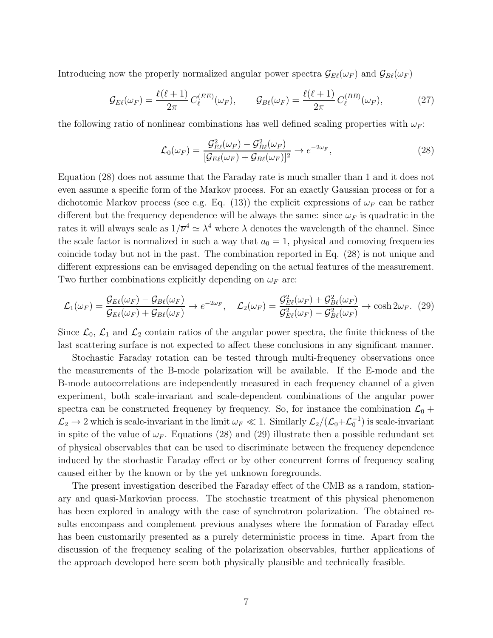Introducing now the properly normalized angular power spectra  $\mathcal{G}_{E\ell}(\omega_F)$  and  $\mathcal{G}_{B\ell}(\omega_F)$ 

$$
\mathcal{G}_{E\ell}(\omega_F) = \frac{\ell(\ell+1)}{2\pi} C_{\ell}^{(EE)}(\omega_F), \qquad \mathcal{G}_{B\ell}(\omega_F) = \frac{\ell(\ell+1)}{2\pi} C_{\ell}^{(BB)}(\omega_F), \tag{27}
$$

the following ratio of nonlinear combinations has well defined scaling properties with  $\omega_F$ :

$$
\mathcal{L}_0(\omega_F) = \frac{\mathcal{G}_{E\ell}^2(\omega_F) - \mathcal{G}_{B\ell}^2(\omega_F)}{[\mathcal{G}_{E\ell}(\omega_F) + \mathcal{G}_{B\ell}(\omega_F)]^2} \to e^{-2\omega_F},\tag{28}
$$

Equation (28) does not assume that the Faraday rate is much smaller than 1 and it does not even assume a specific form of the Markov process. For an exactly Gaussian process or for a dichotomic Markov process (see e.g. Eq. (13)) the explicit expressions of  $\omega_F$  can be rather different but the frequency dependence will be always the same: since  $\omega_F$  is quadratic in the rates it will always scale as  $1/\overline{\nu}^4 \simeq \lambda^4$  where  $\lambda$  denotes the wavelength of the channel. Since the scale factor is normalized in such a way that  $a_0 = 1$ , physical and comoving frequencies coincide today but not in the past. The combination reported in Eq. (28) is not unique and different expressions can be envisaged depending on the actual features of the measurement. Two further combinations explicitly depending on  $\omega_F$  are:

$$
\mathcal{L}_1(\omega_F) = \frac{\mathcal{G}_{E\ell}(\omega_F) - \mathcal{G}_{B\ell}(\omega_F)}{\mathcal{G}_{E\ell}(\omega_F) + \mathcal{G}_{B\ell}(\omega_F)} \to e^{-2\omega_F}, \quad \mathcal{L}_2(\omega_F) = \frac{\mathcal{G}_{E\ell}^2(\omega_F) + \mathcal{G}_{B\ell}^2(\omega_F)}{\mathcal{G}_{E\ell}^2(\omega_F) - \mathcal{G}_{B\ell}^2(\omega_F)} \to \cosh 2\omega_F. \tag{29}
$$

Since  $\mathcal{L}_0$ ,  $\mathcal{L}_1$  and  $\mathcal{L}_2$  contain ratios of the angular power spectra, the finite thickness of the last scattering surface is not expected to affect these conclusions in any significant manner.

Stochastic Faraday rotation can be tested through multi-frequency observations once the measurements of the B-mode polarization will be available. If the E-mode and the B-mode autocorrelations are independently measured in each frequency channel of a given experiment, both scale-invariant and scale-dependent combinations of the angular power spectra can be constructed frequency by frequency. So, for instance the combination  $\mathcal{L}_0$  +  $\mathcal{L}_2 \to 2$  which is scale-invariant in the limit  $\omega_F \ll 1$ . Similarly  $\mathcal{L}_2/(\mathcal{L}_0+\mathcal{L}_0^{-1})$  is scale-invariant in spite of the value of  $\omega_F$ . Equations (28) and (29) illustrate then a possible redundant set of physical observables that can be used to discriminate between the frequency dependence induced by the stochastic Faraday effect or by other concurrent forms of frequency scaling caused either by the known or by the yet unknown foregrounds.

The present investigation described the Faraday effect of the CMB as a random, stationary and quasi-Markovian process. The stochastic treatment of this physical phenomenon has been explored in analogy with the case of synchrotron polarization. The obtained results encompass and complement previous analyses where the formation of Faraday effect has been customarily presented as a purely deterministic process in time. Apart from the discussion of the frequency scaling of the polarization observables, further applications of the approach developed here seem both physically plausible and technically feasible.